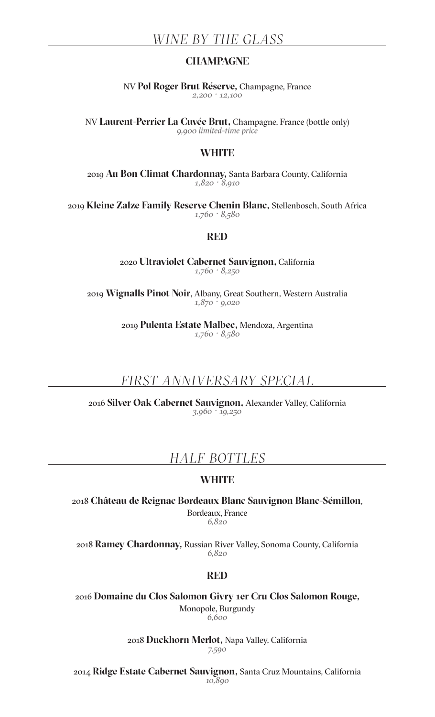## **CHAMPAGNE**

NV **Pol Roger Brut Réserve,** Champagne, France *2,200 · 12,100*

NV **Laurent-Perrier La Cuvée Brut,** Champagne, France (bottle only) *9,900 limited-time price*

### **WHITE**

2019 **Au Bon Climat Chardonnay,** Santa Barbara County, California *1,820 · 8,910*

2019 **Kleine Zalze Family Reserve Chenin Blanc,** Stellenbosch, South Africa *1,760 · 8,580*

#### **RED**

2020 **Ultraviolet Cabernet Sauvignon,** California *1,760 · 8,250*

2019 **Wignalls Pinot Noir**, Albany, Great Southern, Western Australia *1,870 · 9,020*

> 2019 **Pulenta Estate Malbec,** Mendoza, Argentina *1,760 · 8,580*

# *FIRST ANNIVERSARY SPECIAL*

2016 **Silver Oak Cabernet Sauvignon,** Alexander Valley, California *3,960 · 19,250*

# *HALF BOTTLES*

## **WHITE**

2018 **Château de Reignac Bordeaux Blanc Sauvignon Blanc-Sémillon**, Bordeaux, France *6,820*

2018 **Ramey Chardonnay,** Russian River Valley, Sonoma County, California *6,820*

#### **RED**

2016 **Domaine du Clos Salomon Givry 1er Cru Clos Salomon Rouge,**  Monopole, Burgundy *6,600*

> 2018 **Duckhorn Merlot,** Napa Valley, California *7,590*

2014 **Ridge Estate Cabernet Sauvignon,** Santa Cruz Mountains, California *10,890*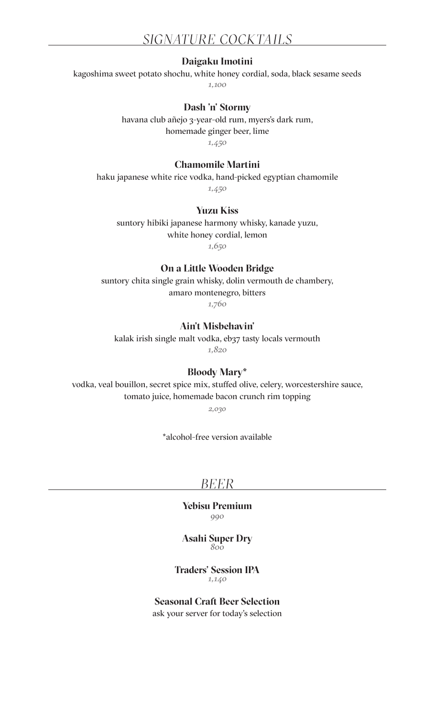### **Daigaku Imotini**

kagoshima sweet potato shochu, white honey cordial, soda, black sesame seeds

*1,100*

#### **Dash 'n' Stormy**

havana club añejo 3-year-old rum, myers's dark rum, homemade ginger beer, lime

*1,450*

### **Chamomile Martini**

haku japanese white rice vodka, hand-picked egyptian chamomile

*1,450*

### **Yuzu Kiss**

suntory hibiki japanese harmony whisky, kanade yuzu, white honey cordial, lemon

*1,650*

### **On a Little Wooden Bridge**

suntory chita single grain whisky, dolin vermouth de chambery, amaro montenegro, bitters

*1,760*

### **Ain't Misbehavin'**

kalak irish single malt vodka, eb37 tasty locals vermouth

*1,820*

## **Bloody Mary\***

vodka, veal bouillon, secret spice mix, stuffed olive, celery, worcestershire sauce, tomato juice, homemade bacon crunch rim topping

*2,030*

\*alcohol-free version available

## *BEER*

**Yebisu Premium** *990*

#### **Asahi Super Dry** *800*

**Traders' Session IPA** *1,140*

## **Seasonal Craft Beer Selection**

ask your server for today's selection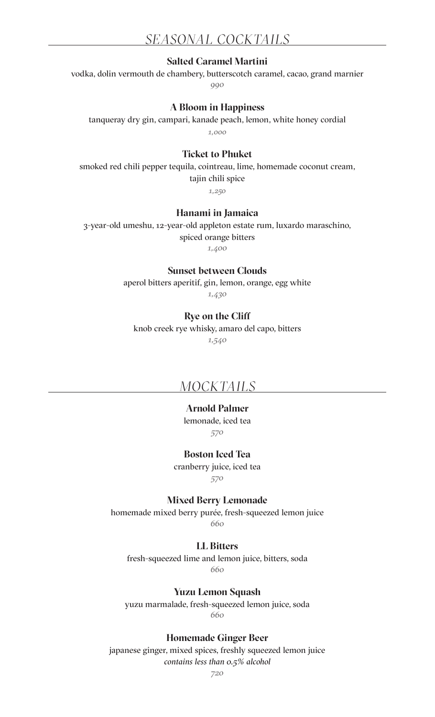# *SEASONAL COCKTAILS*

### **Salted Caramel Martini**

vodka, dolin vermouth de chambery, butterscotch caramel, cacao, grand marnier *990*

#### **A Bloom in Happiness**

tanqueray dry gin, campari, kanade peach, lemon, white honey cordial *1,000*

## **Ticket to Phuket**

smoked red chili pepper tequila, cointreau, lime, homemade coconut cream, tajin chili spice

*1,250*

### **Hanami in Jamaica**

3-year-old umeshu, 12-year-old appleton estate rum, luxardo maraschino,

spiced orange bitters

*1,400*

#### **Sunset between Clouds**

aperol bitters aperitif, gin, lemon, orange, egg white *1,430*

#### **Rye on the Cliff**

knob creek rye whisky, amaro del capo, bitters *1,540*

## *MOCKTAILS*

# **Arnold Palmer**

lemonade, iced tea *570* 

#### **Boston Iced Tea**

cranberry juice, iced tea

*570*

**Mixed Berry Lemonade**

homemade mixed berry purée, fresh-squeezed lemon juice *660*

## **LL Bitters**

fresh-squeezed lime and lemon juice, bitters, soda *660*

#### **Yuzu Lemon Squash**

yuzu marmalade, fresh-squeezed lemon juice, soda *660*

#### **Homemade Ginger Beer**

japanese ginger, mixed spices, freshly squeezed lemon juice *contains less than 0.5% alcohol*